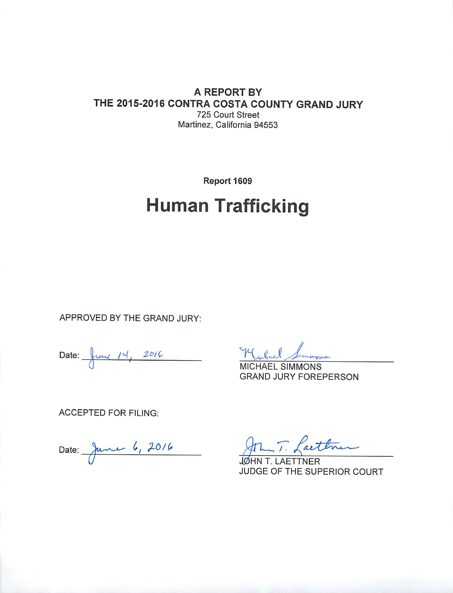#### A REPORT BY THE 2015-2016 CONTRA COSTA COUNTY GRAND JURY 725 Court Street Martinez, California 94553

Report 1609

# **Human Trafficking**

APPROVED BY THE GRAND JURY:

Date:  $\int$ une  $14$ ,  $2016$ 

Messel

**MICHAEL SIMMONS GRAND JURY FOREPERSON** 

**ACCEPTED FOR FILING:** 

Date: June 6, 2016

aett

AETTNER JUDGE OF THE SUPERIOR COURT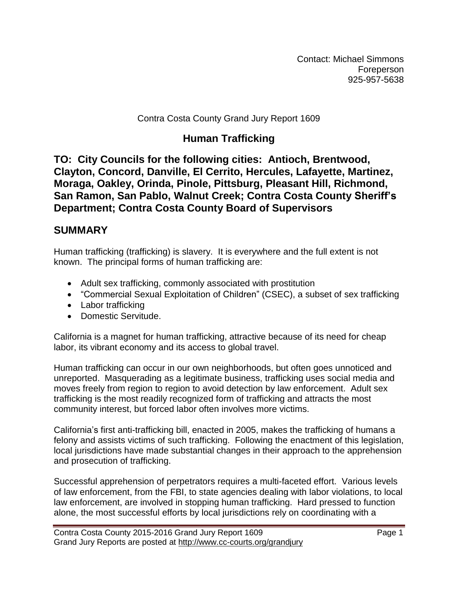Contact: Michael Simmons Foreperson 925-957-5638

#### Contra Costa County Grand Jury Report 1609

## **Human Trafficking**

**TO: City Councils for the following cities: Antioch, Brentwood, Clayton, Concord, Danville, El Cerrito, Hercules, Lafayette, Martinez, Moraga, Oakley, Orinda, Pinole, Pittsburg, Pleasant Hill, Richmond, San Ramon, San Pablo, Walnut Creek; Contra Costa County Sheriff's Department; Contra Costa County Board of Supervisors**

#### **SUMMARY**

Human trafficking (trafficking) is slavery. It is everywhere and the full extent is not known. The principal forms of human trafficking are:

- Adult sex trafficking, commonly associated with prostitution
- "Commercial Sexual Exploitation of Children" (CSEC), a subset of sex trafficking
- Labor trafficking
- Domestic Servitude.

California is a magnet for human trafficking, attractive because of its need for cheap labor, its vibrant economy and its access to global travel.

Human trafficking can occur in our own neighborhoods, but often goes unnoticed and unreported. Masquerading as a legitimate business, trafficking uses social media and moves freely from region to region to avoid detection by law enforcement. Adult sex trafficking is the most readily recognized form of trafficking and attracts the most community interest, but forced labor often involves more victims.

California's first anti-trafficking bill, enacted in 2005, makes the trafficking of humans a felony and assists victims of such trafficking. Following the enactment of this legislation, local jurisdictions have made substantial changes in their approach to the apprehension and prosecution of trafficking.

Successful apprehension of perpetrators requires a multi-faceted effort. Various levels of law enforcement, from the FBI, to state agencies dealing with labor violations, to local law enforcement, are involved in stopping human trafficking. Hard pressed to function alone, the most successful efforts by local jurisdictions rely on coordinating with a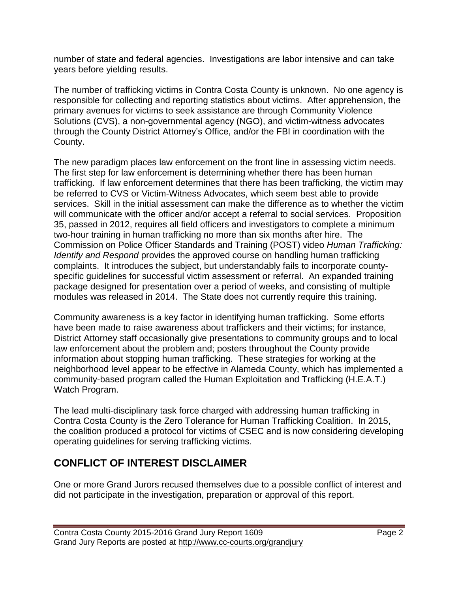number of state and federal agencies. Investigations are labor intensive and can take years before yielding results.

The number of trafficking victims in Contra Costa County is unknown. No one agency is responsible for collecting and reporting statistics about victims. After apprehension, the primary avenues for victims to seek assistance are through Community Violence Solutions (CVS), a non-governmental agency (NGO), and victim-witness advocates through the County District Attorney's Office, and/or the FBI in coordination with the County.

The new paradigm places law enforcement on the front line in assessing victim needs. The first step for law enforcement is determining whether there has been human trafficking. If law enforcement determines that there has been trafficking, the victim may be referred to CVS or Victim-Witness Advocates, which seem best able to provide services. Skill in the initial assessment can make the difference as to whether the victim will communicate with the officer and/or accept a referral to social services. Proposition 35, passed in 2012, requires all field officers and investigators to complete a minimum two-hour training in human trafficking no more than six months after hire. The Commission on Police Officer Standards and Training (POST) video *Human Trafficking: Identify and Respond* provides the approved course on handling human trafficking complaints. It introduces the subject, but understandably fails to incorporate countyspecific guidelines for successful victim assessment or referral. An expanded training package designed for presentation over a period of weeks, and consisting of multiple modules was released in 2014. The State does not currently require this training.

Community awareness is a key factor in identifying human trafficking. Some efforts have been made to raise awareness about traffickers and their victims; for instance, District Attorney staff occasionally give presentations to community groups and to local law enforcement about the problem and; posters throughout the County provide information about stopping human trafficking. These strategies for working at the neighborhood level appear to be effective in Alameda County, which has implemented a community-based program called the Human Exploitation and Trafficking (H.E.A.T.) Watch Program.

The lead multi-disciplinary task force charged with addressing human trafficking in Contra Costa County is the Zero Tolerance for Human Trafficking Coalition. In 2015, the coalition produced a protocol for victims of CSEC and is now considering developing operating guidelines for serving trafficking victims.

# **CONFLICT OF INTEREST DISCLAIMER**

One or more Grand Jurors recused themselves due to a possible conflict of interest and did not participate in the investigation, preparation or approval of this report.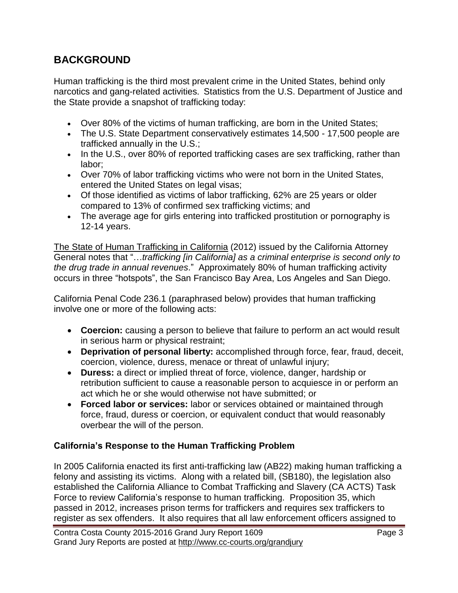## **BACKGROUND**

Human trafficking is the third most prevalent crime in the United States, behind only narcotics and gang-related activities. Statistics from the U.S. Department of Justice and the State provide a snapshot of trafficking today:

- Over 80% of the victims of human trafficking, are born in the United States;
- The U.S. State Department conservatively estimates 14,500 17,500 people are trafficked annually in the U.S.;
- In the U.S., over 80% of reported trafficking cases are sex trafficking, rather than labor;
- Over 70% of labor trafficking victims who were not born in the United States, entered the United States on legal visas;
- Of those identified as victims of labor trafficking, 62% are 25 years or older compared to 13% of confirmed sex trafficking victims; and
- The average age for girls entering into trafficked prostitution or pornography is 12-14 years.

The State of Human Trafficking in California (2012) issued by the California Attorney General notes that "…*trafficking [in California] as a criminal enterprise is second only to the drug trade in annual revenues*." Approximately 80% of human trafficking activity occurs in three "hotspots", the San Francisco Bay Area, Los Angeles and San Diego.

California Penal Code 236.1 (paraphrased below) provides that human trafficking involve one or more of the following acts:

- **Coercion:** causing a person to believe that failure to perform an act would result in serious harm or physical restraint;
- **Deprivation of personal liberty:** accomplished through force, fear, fraud, deceit, coercion, violence, duress, menace or threat of unlawful injury;
- **Duress:** a direct or implied threat of force, violence, danger, hardship or retribution sufficient to cause a reasonable person to acquiesce in or perform an act which he or she would otherwise not have submitted; or
- **Forced labor or services:** labor or services obtained or maintained through force, fraud, duress or coercion, or equivalent conduct that would reasonably overbear the will of the person.

#### **California's Response to the Human Trafficking Problem**

In 2005 California enacted its first anti-trafficking law (AB22) making human trafficking a felony and assisting its victims. Along with a related bill, (SB180), the legislation also established the California Alliance to Combat Trafficking and Slavery (CA ACTS) Task Force to review California's response to human trafficking. Proposition 35, which passed in 2012, increases prison terms for traffickers and requires sex traffickers to register as sex offenders. It also requires that all law enforcement officers assigned to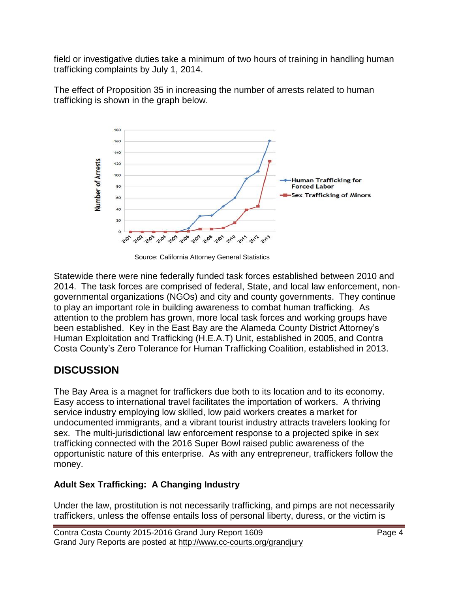field or investigative duties take a minimum of two hours of training in handling human trafficking complaints by July 1, 2014.

The effect of Proposition 35 in increasing the number of arrests related to human trafficking is shown in the graph below.



Source: California Attorney General Statistics

Statewide there were nine federally funded task forces established between 2010 and 2014. The task forces are comprised of federal, State, and local law enforcement, nongovernmental organizations (NGOs) and city and county governments. They continue to play an important role in building awareness to combat human trafficking. As attention to the problem has grown, more local task forces and working groups have been established. Key in the East Bay are the Alameda County District Attorney's Human Exploitation and Trafficking (H.E.A.T) Unit, established in 2005, and Contra Costa County's Zero Tolerance for Human Trafficking Coalition, established in 2013.

# **DISCUSSION**

The Bay Area is a magnet for traffickers due both to its location and to its economy. Easy access to international travel facilitates the importation of workers. A thriving service industry employing low skilled, low paid workers creates a market for undocumented immigrants, and a vibrant tourist industry attracts travelers looking for sex. The multi-jurisdictional law enforcement response to a projected spike in sex trafficking connected with the 2016 Super Bowl raised public awareness of the opportunistic nature of this enterprise. As with any entrepreneur, traffickers follow the money.

#### **Adult Sex Trafficking: A Changing Industry**

Under the law, prostitution is not necessarily trafficking, and pimps are not necessarily traffickers, unless the offense entails loss of personal liberty, duress, or the victim is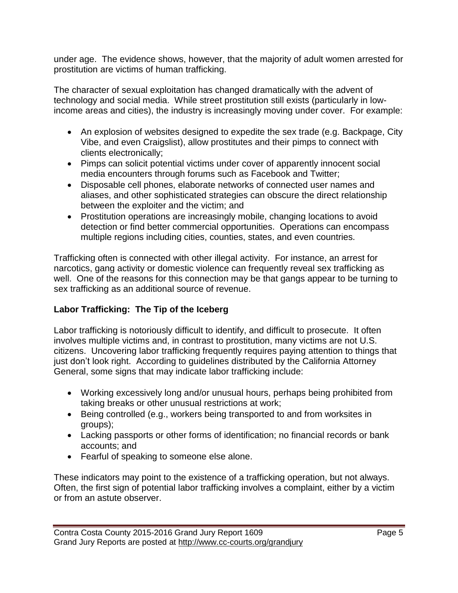under age. The evidence shows, however, that the majority of adult women arrested for prostitution are victims of human trafficking.

The character of sexual exploitation has changed dramatically with the advent of technology and social media. While street prostitution still exists (particularly in lowincome areas and cities), the industry is increasingly moving under cover. For example:

- An explosion of websites designed to expedite the sex trade (e.g. Backpage, City Vibe, and even Craigslist), allow prostitutes and their pimps to connect with clients electronically;
- Pimps can solicit potential victims under cover of apparently innocent social media encounters through forums such as Facebook and Twitter;
- Disposable cell phones, elaborate networks of connected user names and aliases, and other sophisticated strategies can obscure the direct relationship between the exploiter and the victim; and
- Prostitution operations are increasingly mobile, changing locations to avoid detection or find better commercial opportunities. Operations can encompass multiple regions including cities, counties, states, and even countries.

Trafficking often is connected with other illegal activity. For instance, an arrest for narcotics, gang activity or domestic violence can frequently reveal sex trafficking as well. One of the reasons for this connection may be that gangs appear to be turning to sex trafficking as an additional source of revenue.

#### **Labor Trafficking: The Tip of the Iceberg**

Labor trafficking is notoriously difficult to identify, and difficult to prosecute. It often involves multiple victims and, in contrast to prostitution, many victims are not U.S. citizens. Uncovering labor trafficking frequently requires paying attention to things that just don't look right. According to guidelines distributed by the California Attorney General, some signs that may indicate labor trafficking include:

- Working excessively long and/or unusual hours, perhaps being prohibited from taking breaks or other unusual restrictions at work;
- Being controlled (e.g., workers being transported to and from worksites in groups);
- Lacking passports or other forms of identification; no financial records or bank accounts; and
- Fearful of speaking to someone else alone.

These indicators may point to the existence of a trafficking operation, but not always. Often, the first sign of potential labor trafficking involves a complaint, either by a victim or from an astute observer.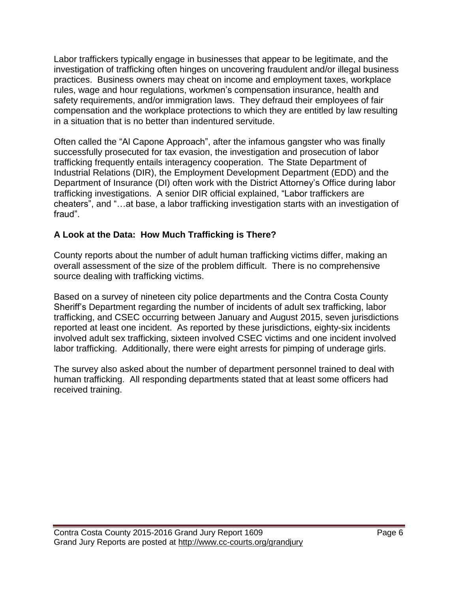Labor traffickers typically engage in businesses that appear to be legitimate, and the investigation of trafficking often hinges on uncovering fraudulent and/or illegal business practices. Business owners may cheat on income and employment taxes, workplace rules, wage and hour regulations, workmen's compensation insurance, health and safety requirements, and/or immigration laws. They defraud their employees of fair compensation and the workplace protections to which they are entitled by law resulting in a situation that is no better than indentured servitude.

Often called the "Al Capone Approach", after the infamous gangster who was finally successfully prosecuted for tax evasion, the investigation and prosecution of labor trafficking frequently entails interagency cooperation. The State Department of Industrial Relations (DIR), the Employment Development Department (EDD) and the Department of Insurance (DI) often work with the District Attorney's Office during labor trafficking investigations. A senior DIR official explained, "Labor traffickers are cheaters", and "…at base, a labor trafficking investigation starts with an investigation of fraud".

#### **A Look at the Data: How Much Trafficking is There?**

County reports about the number of adult human trafficking victims differ, making an overall assessment of the size of the problem difficult. There is no comprehensive source dealing with trafficking victims.

Based on a survey of nineteen city police departments and the Contra Costa County Sheriff's Department regarding the number of incidents of adult sex trafficking, labor trafficking, and CSEC occurring between January and August 2015, seven jurisdictions reported at least one incident. As reported by these jurisdictions, eighty-six incidents involved adult sex trafficking, sixteen involved CSEC victims and one incident involved labor trafficking. Additionally, there were eight arrests for pimping of underage girls.

The survey also asked about the number of department personnel trained to deal with human trafficking. All responding departments stated that at least some officers had received training.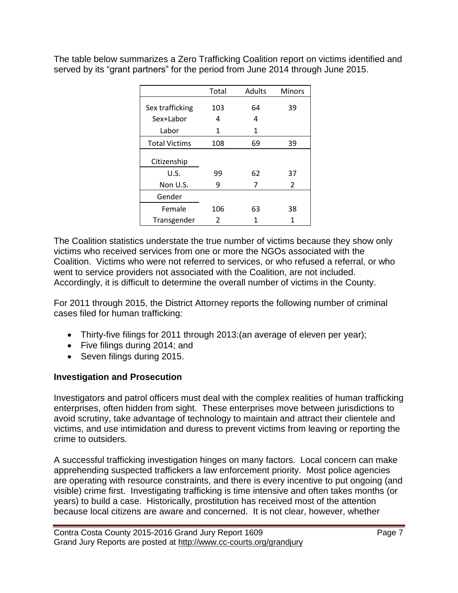The table below summarizes a Zero Trafficking Coalition report on victims identified and served by its "grant partners" for the period from June 2014 through June 2015.

|                      | Total | Adults | Minors        |
|----------------------|-------|--------|---------------|
| Sex trafficking      | 103   | 64     | 39            |
| Sex+Labor            | 4     | 4      |               |
| Labor                | 1     | 1      |               |
| <b>Total Victims</b> | 108   | 69     | 39            |
| Citizenship          |       |        |               |
| U.S.                 | 99    | 62     | 37            |
| Non U.S.             | 9     |        | $\mathcal{P}$ |
| Gender               |       |        |               |
| Female               | 106   | 63     | 38            |
| Transgender          | 2     | 1      | 1             |

The Coalition statistics understate the true number of victims because they show only victims who received services from one or more the NGOs associated with the Coalition. Victims who were not referred to services, or who refused a referral, or who went to service providers not associated with the Coalition, are not included. Accordingly, it is difficult to determine the overall number of victims in the County.

For 2011 through 2015, the District Attorney reports the following number of criminal cases filed for human trafficking:

- Thirty-five filings for 2011 through 2013:(an average of eleven per year);
- Five filings during 2014; and
- Seven filings during 2015.

#### **Investigation and Prosecution**

Investigators and patrol officers must deal with the complex realities of human trafficking enterprises, often hidden from sight. These enterprises move between jurisdictions to avoid scrutiny, take advantage of technology to maintain and attract their clientele and victims, and use intimidation and duress to prevent victims from leaving or reporting the crime to outsiders.

A successful trafficking investigation hinges on many factors. Local concern can make apprehending suspected traffickers a law enforcement priority. Most police agencies are operating with resource constraints, and there is every incentive to put ongoing (and visible) crime first. Investigating trafficking is time intensive and often takes months (or years) to build a case. Historically, prostitution has received most of the attention because local citizens are aware and concerned. It is not clear, however, whether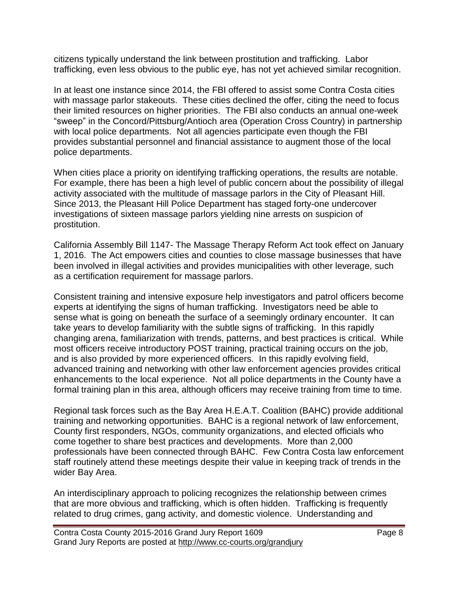citizens typically understand the link between prostitution and trafficking. Labor trafficking, even less obvious to the public eye, has not yet achieved similar recognition.

In at least one instance since 2014, the FBI offered to assist some Contra Costa cities with massage parlor stakeouts. These cities declined the offer, citing the need to focus their limited resources on higher priorities. The FBI also conducts an annual one-week "sweep" in the Concord/Pittsburg/Antioch area (Operation Cross Country) in partnership with local police departments. Not all agencies participate even though the FBI provides substantial personnel and financial assistance to augment those of the local police departments.

When cities place a priority on identifying trafficking operations, the results are notable. For example, there has been a high level of public concern about the possibility of illegal activity associated with the multitude of massage parlors in the City of Pleasant Hill. Since 2013, the Pleasant Hill Police Department has staged forty-one undercover investigations of sixteen massage parlors yielding nine arrests on suspicion of prostitution.

California Assembly Bill 1147- The Massage Therapy Reform Act took effect on January 1, 2016. The Act empowers cities and counties to close massage businesses that have been involved in illegal activities and provides municipalities with other leverage, such as a certification requirement for massage parlors.

Consistent training and intensive exposure help investigators and patrol officers become experts at identifying the signs of human trafficking. Investigators need be able to sense what is going on beneath the surface of a seemingly ordinary encounter. It can take years to develop familiarity with the subtle signs of trafficking. In this rapidly changing arena, familiarization with trends, patterns, and best practices is critical. While most officers receive introductory POST training, practical training occurs on the job, and is also provided by more experienced officers. In this rapidly evolving field, advanced training and networking with other law enforcement agencies provides critical enhancements to the local experience. Not all police departments in the County have a formal training plan in this area, although officers may receive training from time to time.

Regional task forces such as the Bay Area H.E.A.T. Coalition (BAHC) provide additional training and networking opportunities. BAHC is a regional network of law enforcement, County first responders, NGOs, community organizations, and elected officials who come together to share best practices and developments. More than 2,000 professionals have been connected through BAHC. Few Contra Costa law enforcement staff routinely attend these meetings despite their value in keeping track of trends in the wider Bay Area.

An interdisciplinary approach to policing recognizes the relationship between crimes that are more obvious and trafficking, which is often hidden. Trafficking is frequently related to drug crimes, gang activity, and domestic violence. Understanding and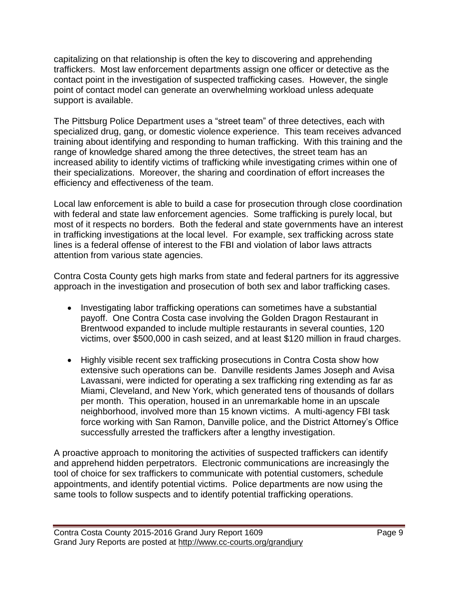capitalizing on that relationship is often the key to discovering and apprehending traffickers. Most law enforcement departments assign one officer or detective as the contact point in the investigation of suspected trafficking cases. However, the single point of contact model can generate an overwhelming workload unless adequate support is available.

The Pittsburg Police Department uses a "street team" of three detectives, each with specialized drug, gang, or domestic violence experience. This team receives advanced training about identifying and responding to human trafficking. With this training and the range of knowledge shared among the three detectives, the street team has an increased ability to identify victims of trafficking while investigating crimes within one of their specializations. Moreover, the sharing and coordination of effort increases the efficiency and effectiveness of the team.

Local law enforcement is able to build a case for prosecution through close coordination with federal and state law enforcement agencies. Some trafficking is purely local, but most of it respects no borders. Both the federal and state governments have an interest in trafficking investigations at the local level. For example, sex trafficking across state lines is a federal offense of interest to the FBI and violation of labor laws attracts attention from various state agencies.

Contra Costa County gets high marks from state and federal partners for its aggressive approach in the investigation and prosecution of both sex and labor trafficking cases.

- Investigating labor trafficking operations can sometimes have a substantial payoff. One Contra Costa case involving the Golden Dragon Restaurant in Brentwood expanded to include multiple restaurants in several counties, 120 victims, over \$500,000 in cash seized, and at least \$120 million in fraud charges.
- Highly visible recent sex trafficking prosecutions in Contra Costa show how extensive such operations can be. Danville residents James Joseph and Avisa Lavassani, were indicted for operating a sex trafficking ring extending as far as Miami, Cleveland, and New York, which generated tens of thousands of dollars per month. This operation, housed in an unremarkable home in an upscale neighborhood, involved more than 15 known victims. A multi-agency FBI task force working with San Ramon, Danville police, and the District Attorney's Office successfully arrested the traffickers after a lengthy investigation.

A proactive approach to monitoring the activities of suspected traffickers can identify and apprehend hidden perpetrators. Electronic communications are increasingly the tool of choice for sex traffickers to communicate with potential customers, schedule appointments, and identify potential victims. Police departments are now using the same tools to follow suspects and to identify potential trafficking operations.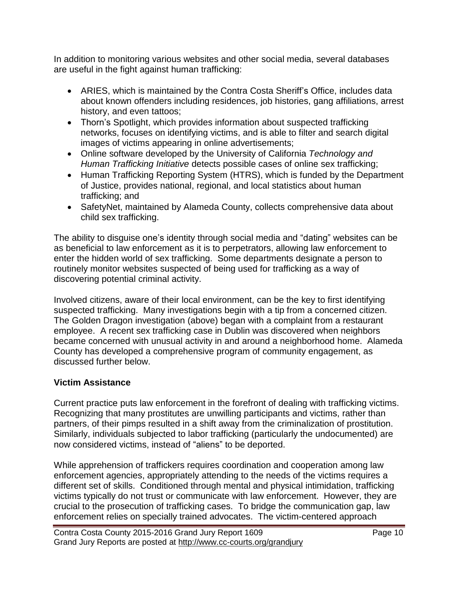In addition to monitoring various websites and other social media, several databases are useful in the fight against human trafficking:

- ARIES, which is maintained by the Contra Costa Sheriff's Office, includes data about known offenders including residences, job histories, gang affiliations, arrest history, and even tattoos;
- Thorn's Spotlight, which provides information about suspected trafficking networks, focuses on identifying victims, and is able to filter and search digital images of victims appearing in online advertisements;
- Online software developed by the University of California *Technology and Human Trafficking Initiative* detects possible cases of online sex trafficking;
- Human Trafficking Reporting System (HTRS), which is funded by the Department of Justice, provides national, regional, and local statistics about human trafficking; and
- SafetyNet, maintained by Alameda County, collects comprehensive data about child sex trafficking.

The ability to disguise one's identity through social media and "dating" websites can be as beneficial to law enforcement as it is to perpetrators, allowing law enforcement to enter the hidden world of sex trafficking. Some departments designate a person to routinely monitor websites suspected of being used for trafficking as a way of discovering potential criminal activity.

Involved citizens, aware of their local environment, can be the key to first identifying suspected trafficking. Many investigations begin with a tip from a concerned citizen. The Golden Dragon investigation (above) began with a complaint from a restaurant employee. A recent sex trafficking case in Dublin was discovered when neighbors became concerned with unusual activity in and around a neighborhood home. Alameda County has developed a comprehensive program of community engagement, as discussed further below.

#### **Victim Assistance**

Current practice puts law enforcement in the forefront of dealing with trafficking victims. Recognizing that many prostitutes are unwilling participants and victims, rather than partners, of their pimps resulted in a shift away from the criminalization of prostitution. Similarly, individuals subjected to labor trafficking (particularly the undocumented) are now considered victims, instead of "aliens" to be deported.

While apprehension of traffickers requires coordination and cooperation among law enforcement agencies, appropriately attending to the needs of the victims requires a different set of skills. Conditioned through mental and physical intimidation, trafficking victims typically do not trust or communicate with law enforcement. However, they are crucial to the prosecution of trafficking cases. To bridge the communication gap, law enforcement relies on specially trained advocates. The victim-centered approach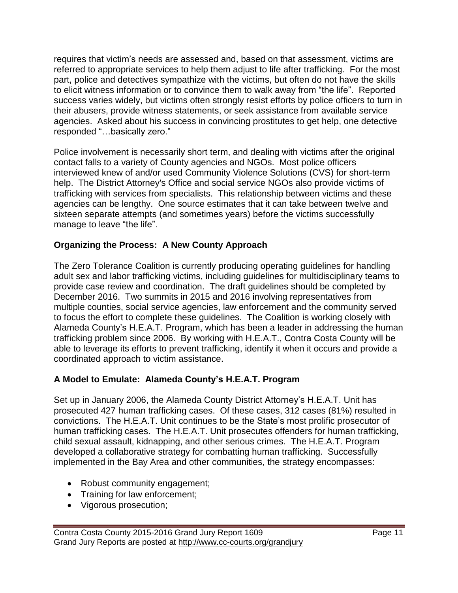requires that victim's needs are assessed and, based on that assessment, victims are referred to appropriate services to help them adjust to life after trafficking. For the most part, police and detectives sympathize with the victims, but often do not have the skills to elicit witness information or to convince them to walk away from "the life". Reported success varies widely, but victims often strongly resist efforts by police officers to turn in their abusers, provide witness statements, or seek assistance from available service agencies. Asked about his success in convincing prostitutes to get help, one detective responded "…basically zero."

Police involvement is necessarily short term, and dealing with victims after the original contact falls to a variety of County agencies and NGOs. Most police officers interviewed knew of and/or used Community Violence Solutions (CVS) for short-term help. The District Attorney's Office and social service NGOs also provide victims of trafficking with services from specialists. This relationship between victims and these agencies can be lengthy. One source estimates that it can take between twelve and sixteen separate attempts (and sometimes years) before the victims successfully manage to leave "the life".

#### **Organizing the Process: A New County Approach**

The Zero Tolerance Coalition is currently producing operating guidelines for handling adult sex and labor trafficking victims, including guidelines for multidisciplinary teams to provide case review and coordination. The draft guidelines should be completed by December 2016. Two summits in 2015 and 2016 involving representatives from multiple counties, social service agencies, law enforcement and the community served to focus the effort to complete these guidelines. The Coalition is working closely with Alameda County's H.E.A.T. Program, which has been a leader in addressing the human trafficking problem since 2006. By working with H.E.A.T., Contra Costa County will be able to leverage its efforts to prevent trafficking, identify it when it occurs and provide a coordinated approach to victim assistance.

#### **A Model to Emulate: Alameda County's H.E.A.T. Program**

Set up in January 2006, the Alameda County District Attorney's H.E.A.T. Unit has prosecuted 427 human trafficking cases. Of these cases, 312 cases (81%) resulted in convictions. The H.E.A.T. Unit continues to be the State's most prolific prosecutor of human trafficking cases. The H.E.A.T. Unit prosecutes offenders for human trafficking, child sexual assault, kidnapping, and other serious crimes. The H.E.A.T. Program developed a collaborative strategy for combatting human trafficking. Successfully implemented in the Bay Area and other communities, the strategy encompasses:

- Robust community engagement;
- Training for law enforcement;
- Vigorous prosecution;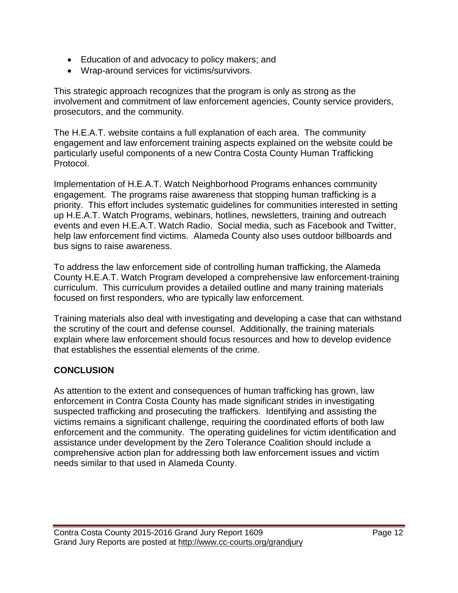- Education of and advocacy to policy makers; and
- Wrap-around services for victims/survivors.

This strategic approach recognizes that the program is only as strong as the involvement and commitment of law enforcement agencies, County service providers, prosecutors, and the community.

The H.E.A.T. website contains a full explanation of each area. The community engagement and law enforcement training aspects explained on the website could be particularly useful components of a new Contra Costa County Human Trafficking Protocol.

Implementation of H.E.A.T. Watch Neighborhood Programs enhances community engagement. The programs raise awareness that stopping human trafficking is a priority. This effort includes systematic guidelines for communities interested in setting up H.E.A.T. Watch Programs, webinars, hotlines, newsletters, training and outreach events and even H.E.A.T. Watch Radio. Social media, such as Facebook and Twitter, help law enforcement find victims. Alameda County also uses outdoor billboards and bus signs to raise awareness.

To address the law enforcement side of controlling human trafficking, the Alameda County H.E.A.T. Watch Program developed a comprehensive law enforcement-training curriculum. This curriculum provides a detailed outline and many training materials focused on first responders, who are typically law enforcement.

Training materials also deal with investigating and developing a case that can withstand the scrutiny of the court and defense counsel. Additionally, the training materials explain where law enforcement should focus resources and how to develop evidence that establishes the essential elements of the crime.

#### **CONCLUSION**

As attention to the extent and consequences of human trafficking has grown, law enforcement in Contra Costa County has made significant strides in investigating suspected trafficking and prosecuting the traffickers. Identifying and assisting the victims remains a significant challenge, requiring the coordinated efforts of both law enforcement and the community. The operating guidelines for victim identification and assistance under development by the Zero Tolerance Coalition should include a comprehensive action plan for addressing both law enforcement issues and victim needs similar to that used in Alameda County.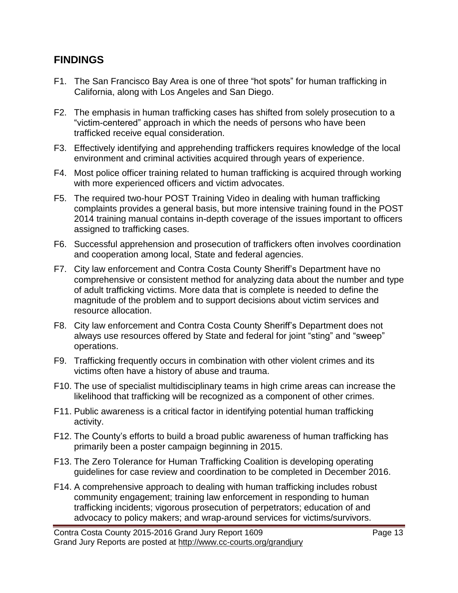#### **FINDINGS**

- F1. The San Francisco Bay Area is one of three "hot spots" for human trafficking in California, along with Los Angeles and San Diego.
- F2. The emphasis in human trafficking cases has shifted from solely prosecution to a "victim-centered" approach in which the needs of persons who have been trafficked receive equal consideration.
- F3. Effectively identifying and apprehending traffickers requires knowledge of the local environment and criminal activities acquired through years of experience.
- F4. Most police officer training related to human trafficking is acquired through working with more experienced officers and victim advocates.
- F5. The required two-hour POST Training Video in dealing with human trafficking complaints provides a general basis, but more intensive training found in the POST 2014 training manual contains in-depth coverage of the issues important to officers assigned to trafficking cases.
- F6. Successful apprehension and prosecution of traffickers often involves coordination and cooperation among local, State and federal agencies.
- F7. City law enforcement and Contra Costa County Sheriff's Department have no comprehensive or consistent method for analyzing data about the number and type of adult trafficking victims. More data that is complete is needed to define the magnitude of the problem and to support decisions about victim services and resource allocation.
- F8. City law enforcement and Contra Costa County Sheriff's Department does not always use resources offered by State and federal for joint "sting" and "sweep" operations.
- F9. Trafficking frequently occurs in combination with other violent crimes and its victims often have a history of abuse and trauma.
- F10. The use of specialist multidisciplinary teams in high crime areas can increase the likelihood that trafficking will be recognized as a component of other crimes.
- F11. Public awareness is a critical factor in identifying potential human trafficking activity.
- F12. The County's efforts to build a broad public awareness of human trafficking has primarily been a poster campaign beginning in 2015.
- F13. The Zero Tolerance for Human Trafficking Coalition is developing operating guidelines for case review and coordination to be completed in December 2016.
- F14. A comprehensive approach to dealing with human trafficking includes robust community engagement; training law enforcement in responding to human trafficking incidents; vigorous prosecution of perpetrators; education of and advocacy to policy makers; and wrap-around services for victims/survivors.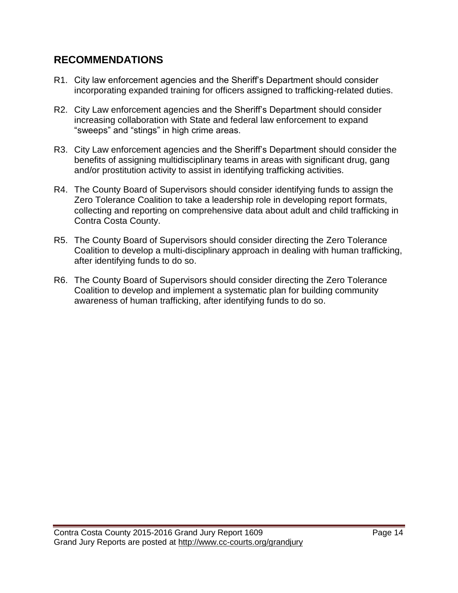### **RECOMMENDATIONS**

- R1. City law enforcement agencies and the Sheriff's Department should consider incorporating expanded training for officers assigned to trafficking-related duties.
- R2. City Law enforcement agencies and the Sheriff's Department should consider increasing collaboration with State and federal law enforcement to expand "sweeps" and "stings" in high crime areas.
- R3. City Law enforcement agencies and the Sheriff's Department should consider the benefits of assigning multidisciplinary teams in areas with significant drug, gang and/or prostitution activity to assist in identifying trafficking activities.
- R4. The County Board of Supervisors should consider identifying funds to assign the Zero Tolerance Coalition to take a leadership role in developing report formats, collecting and reporting on comprehensive data about adult and child trafficking in Contra Costa County.
- R5. The County Board of Supervisors should consider directing the Zero Tolerance Coalition to develop a multi-disciplinary approach in dealing with human trafficking, after identifying funds to do so.
- R6. The County Board of Supervisors should consider directing the Zero Tolerance Coalition to develop and implement a systematic plan for building community awareness of human trafficking, after identifying funds to do so.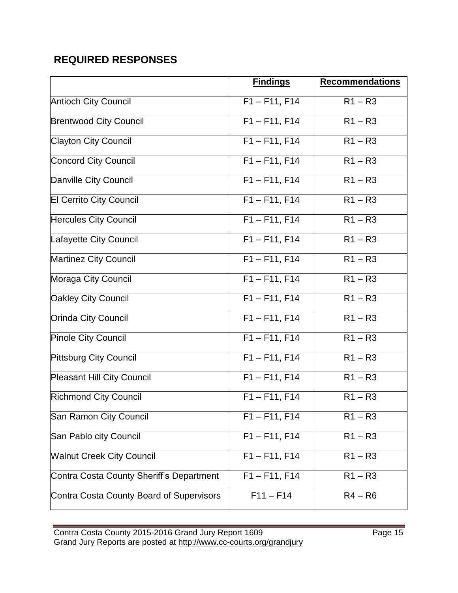# **REQUIRED RESPONSES**

|                                          | <b>Findings</b> | <b>Recommendations</b> |
|------------------------------------------|-----------------|------------------------|
| <b>Antioch City Council</b>              | $F1 - F11, F14$ | $R1 - R3$              |
| <b>Brentwood City Council</b>            | $F1 - F11, F14$ | $R1 - R3$              |
| <b>Clayton City Council</b>              | $F1 - F11, F14$ | $R1 - R3$              |
| <b>Concord City Council</b>              | $F1 - F11, F14$ | $R1 - R3$              |
| Danville City Council                    | $F1 - F11, F14$ | $R1 - R3$              |
| El Cerrito City Council                  | $F1 - F11, F14$ | $R1 - R3$              |
| <b>Hercules City Council</b>             | $F1 - F11, F14$ | $R1 - R3$              |
| Lafayette City Council                   | $F1 - F11, F14$ | $R1 - R3$              |
| Martinez City Council                    | $F1 - F11, F14$ | $R1 - R3$              |
| Moraga City Council                      | $F1 - F11, F14$ | $R1 - R3$              |
| <b>Oakley City Council</b>               | $F1 - F11, F14$ | $R1 - R3$              |
| <b>Orinda City Council</b>               | $F1 - F11, F14$ | $R1 - R3$              |
| <b>Pinole City Council</b>               | $F1 - F11, F14$ | $R1 - R3$              |
| Pittsburg City Council                   | $F1 - F11, F14$ | $R1 - R3$              |
| <b>Pleasant Hill City Council</b>        | $F1 - F11, F14$ | $R1 - R3$              |
| <b>Richmond City Council</b>             | $F1 - F11, F14$ | $R1 - R3$              |
| San Ramon City Council                   | $F1 - F11, F14$ | $R1 - R3$              |
| San Pablo city Council                   | $F1 - F11, F14$ | $R1 - R3$              |
| <b>Walnut Creek City Council</b>         | $F1 - F11, F14$ | $R1 - R3$              |
| Contra Costa County Sheriff's Department | $F1 - F11, F14$ | $R1 - R3$              |
| Contra Costa County Board of Supervisors | $F11 - F14$     | $R4 - R6$              |

Contra Costa County 2015-2016 Grand Jury Report 1609 **Page 15** Page 15 Grand Jury Reports are posted at http://www.cc-courts.org/grandjury